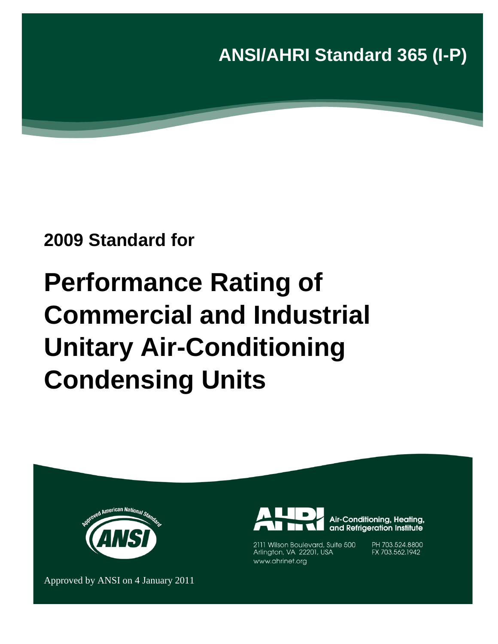**ANSI/AHRI Standard 365 (I-P)**

# **2009 Standard for**

# **Performance Rating of Commercial and Industrial Unitary Air-Conditioning Condensing Units**





Air-Conditioning, Heating, and Refrigeration Institute

2111 Wilson Boulevard, Suite 500 Arlington, VA 22201, USA www.ahrinet.org

PH 703.524.8800 FX 703.562.1942

Approved by ANSI on 4 January 2011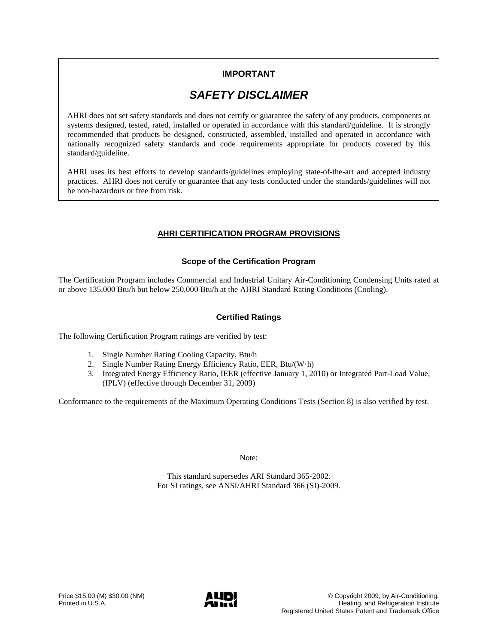## **IMPORTANT**

## *SAFETY DISCLAIMER*

AHRI does not set safety standards and does not certify or guarantee the safety of any products, components or systems designed, tested, rated, installed or operated in accordance with this standard/guideline. It is strongly recommended that products be designed, constructed, assembled, installed and operated in accordance with nationally recognized safety standards and code requirements appropriate for products covered by this standard/guideline.

AHRI uses its best efforts to develop standards/guidelines employing state-of-the-art and accepted industry practices. AHRI does not certify or guarantee that any tests conducted under the standards/guidelines will not be non-hazardous or free from risk.

#### **AHRI CERTIFICATION PROGRAM PROVISIONS**

#### **Scope of the Certification Program**

The Certification Program includes Commercial and Industrial Unitary Air-Conditioning Condensing Units rated at or above 135,000 Btu/h but below 250,000 Btu/h at the AHRI Standard Rating Conditions (Cooling).

#### **Certified Ratings**

The following Certification Program ratings are verified by test:

- 1. Single Number Rating Cooling Capacity, Btu/h
- 2. Single Number Rating Energy Efficiency Ratio, EER*,* Btu/(W·h)
- 3. Integrated Energy Efficiency Ratio, IEER (effective January 1, 2010) or Integrated Part-Load Value, (IPLV) (effective through December 31, 2009)

Conformance to the requirements of the Maximum Operating Conditions Tests (Section 8) is also verified by test.

Note:

This standard supersedes ARI Standard 365-2002. For SI ratings, see ANSI/AHRI Standard 366 (SI)-2009.

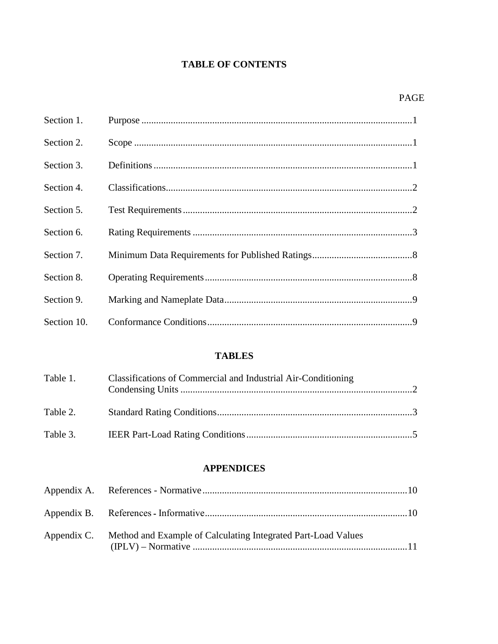## **TABLE OF CONTENTS**

| Section 1.  |  |
|-------------|--|
| Section 2.  |  |
| Section 3.  |  |
| Section 4.  |  |
| Section 5.  |  |
| Section 6.  |  |
| Section 7.  |  |
| Section 8.  |  |
| Section 9.  |  |
| Section 10. |  |

## **TABLES**

| Table 1. | Classifications of Commercial and Industrial Air-Conditioning |  |
|----------|---------------------------------------------------------------|--|
| Table 2. |                                                               |  |
| Table 3. |                                                               |  |

### **APPENDICES**

| Appendix C. Method and Example of Calculating Integrated Part-Load Values |  |
|---------------------------------------------------------------------------|--|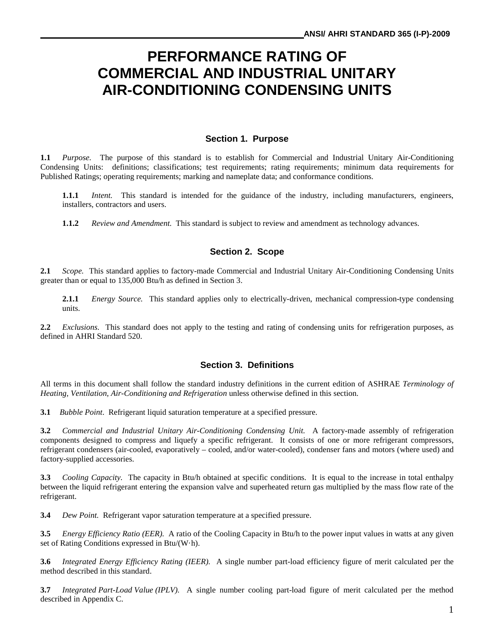# **PERFORMANCE RATING OF COMMERCIAL AND INDUSTRIAL UNITARY AIR-CONDITIONING CONDENSING UNITS**

#### **Section 1. Purpose**

**1.1** *Purpose.* The purpose of this standard is to establish for Commercial and Industrial Unitary Air-Conditioning Condensing Units: definitions; classifications; test requirements; rating requirements; minimum data requirements for Published Ratings; operating requirements; marking and nameplate data; and conformance conditions.

**1.1.1** *Intent.* This standard is intended for the guidance of the industry, including manufacturers, engineers, installers, contractors and users.

**1.1.2** *Review and Amendment.* This standard is subject to review and amendment as technology advances.

#### **Section 2. Scope**

**2.1** *Scope.* This standard applies to factory-made Commercial and Industrial Unitary Air-Conditioning Condensing Units greater than or equal to 135,000 Btu/h as defined in Section 3.

**2.1.1** *Energy Source.* This standard applies only to electrically-driven, mechanical compression-type condensing units.

**2.2** *Exclusions.* This standard does not apply to the testing and rating of condensing units for refrigeration purposes, as defined in AHRI Standard 520.

#### **Section 3. Definitions**

All terms in this document shall follow the standard industry definitions in the current edition of ASHRAE *Terminology of Heating, Ventilation, Air-Conditioning and Refrigeration* unless otherwise defined in this section.

**3.1** *Bubble Point*. Refrigerant liquid saturation temperature at a specified pressure.

**3.2** *Commercial and Industrial Unitary Air-Conditioning Condensing Unit.* A factory-made assembly of refrigeration components designed to compress and liquefy a specific refrigerant. It consists of one or more refrigerant compressors, refrigerant condensers (air-cooled, evaporatively – cooled, and/or water-cooled), condenser fans and motors (where used) and factory-supplied accessories.

**3.3** *Cooling Capacity.* The capacity in Btu/h obtained at specific conditions. It is equal to the increase in total enthalpy between the liquid refrigerant entering the expansion valve and superheated return gas multiplied by the mass flow rate of the refrigerant.

**3.4** *Dew Point.* Refrigerant vapor saturation temperature at a specified pressure.

**3.5** *Energy Efficiency Ratio (EER).* A ratio of the Cooling Capacity in Btu/h to the power input values in watts at any given set of Rating Conditions expressed in Btu/(W·h).

**3.6** *Integrated Energy Efficiency Rating (IEER).* A single number part-load efficiency figure of merit calculated per the method described in this standard.

**3.7** *Integrated Part-Load Value (IPLV).* A single number cooling part-load figure of merit calculated per the method described in Appendix C.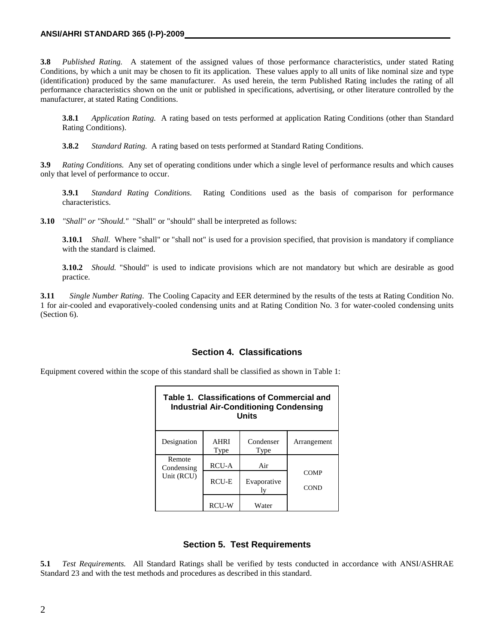#### **ANSI/AHRI STANDARD 365 (I-P)-2009**

**3.8** *Published Rating.* A statement of the assigned values of those performance characteristics, under stated Rating Conditions, by which a unit may be chosen to fit its application. These values apply to all units of like nominal size and type (identification) produced by the same manufacturer. As used herein, the term Published Rating includes the rating of all performance characteristics shown on the unit or published in specifications, advertising, or other literature controlled by the manufacturer, at stated Rating Conditions.

**3.8.1** *Application Rating.* A rating based on tests performed at application Rating Conditions (other than Standard Rating Conditions).

**3.8.2** *Standard Rating.* A rating based on tests performed at Standard Rating Conditions.

**3.9** *Rating Conditions.* Any set of operating conditions under which a single level of performance results and which causes only that level of performance to occur.

**3.9.1** *Standard Rating Conditions.* Rating Conditions used as the basis of comparison for performance characteristics.

**3.10** *"Shall" or "Should."* "Shall" or "should" shall be interpreted as follows:

**3.10.1** *Shall.* Where "shall" or "shall not" is used for a provision specified, that provision is mandatory if compliance with the standard is claimed.

**3.10.2** *Should.* "Should" is used to indicate provisions which are not mandatory but which are desirable as good practice.

**3.11** *Single Number Rating*. The Cooling Capacity and EER determined by the results of the tests at Rating Condition No. 1 for air-cooled and evaporatively-cooled condensing units and at Rating Condition No. 3 for water-cooled condensing units (Section 6).

#### **Section 4. Classifications**

Equipment covered within the scope of this standard shall be classified as shown in Table 1:

| Table 1. Classifications of Commercial and<br><b>Industrial Air-Conditioning Condensing</b><br>Units |                     |                   |                     |  |  |  |  |  |
|------------------------------------------------------------------------------------------------------|---------------------|-------------------|---------------------|--|--|--|--|--|
| Designation                                                                                          | <b>AHRI</b><br>Type | Condenser<br>Type | Arrangement         |  |  |  |  |  |
| Remote<br>Condensing                                                                                 | <b>RCU-A</b>        | Air               |                     |  |  |  |  |  |
| Unit (RCU)                                                                                           | RCU-E               | Evaporative       | COMP<br><b>COND</b> |  |  |  |  |  |
|                                                                                                      | RCU-W               | Water             |                     |  |  |  |  |  |

#### **Section 5. Test Requirements**

**5.1** *Test Requirements.* All Standard Ratings shall be verified by tests conducted in accordance with ANSI/ASHRAE Standard 23 and with the test methods and procedures as described in this standard.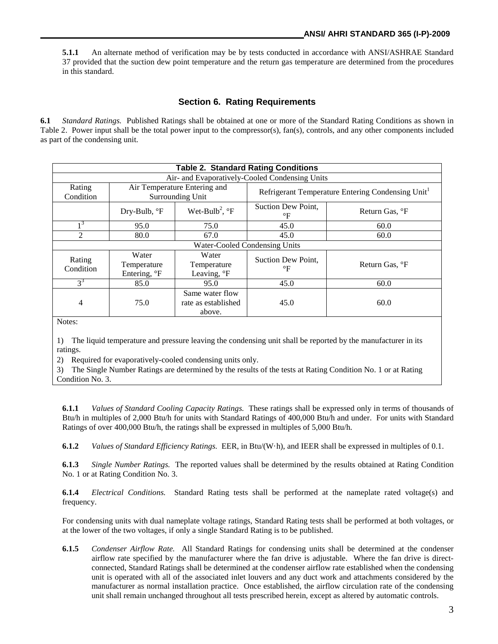**5.1.1** An alternate method of verification may be by tests conducted in accordance with ANSI/ASHRAE Standard 37 provided that the suction dew point temperature and the return gas temperature are determined from the procedures in this standard.

#### **Section 6. Rating Requirements**

**6.1** *Standard Ratings.* Published Ratings shall be obtained at one or more of the Standard Rating Conditions as shown in Table 2. Power input shall be the total power input to the compressor(s), fan(s), controls, and any other components included as part of the condensing unit.

|                     |                                                  |                                                  | <b>Table 2. Standard Rating Conditions</b>     |                                                               |
|---------------------|--------------------------------------------------|--------------------------------------------------|------------------------------------------------|---------------------------------------------------------------|
|                     |                                                  |                                                  | Air- and Evaporatively-Cooled Condensing Units |                                                               |
| Rating<br>Condition |                                                  | Air Temperature Entering and<br>Surrounding Unit |                                                | Refrigerant Temperature Entering Condensing Unit <sup>1</sup> |
|                     | Dry-Bulb, ${}^{\circ}$ F                         | Wet-Bulb <sup>2</sup> , $\mathrm{P}$ F           | Suction Dew Point,<br>$\mathrm{^{\circ}F}$     | Return Gas, <sup>o</sup> F                                    |
| 13                  | 95.0                                             | 75.0                                             | 45.0                                           | 60.0                                                          |
|                     | 80.0                                             | 67.0                                             | 45.0                                           | 60.0                                                          |
|                     |                                                  |                                                  | Water-Cooled Condensing Units                  |                                                               |
| Rating<br>Condition | Water<br>Temperature<br>Entering, <sup>o</sup> F | Water<br>Temperature<br>Leaving, °F              | Suction Dew Point.<br>°F                       | Return Gas, °F                                                |
| $3^3$               | 85.0                                             | 95.0                                             | 45.0                                           | 60.0                                                          |
| 4                   | 75.0                                             | Same water flow<br>rate as established<br>above. | 45.0                                           | 60.0                                                          |
|                     |                                                  |                                                  |                                                |                                                               |

Notes:

1) The liquid temperature and pressure leaving the condensing unit shall be reported by the manufacturer in its ratings.

2) Required for evaporatively-cooled condensing units only.

3) The Single Number Ratings are determined by the results of the tests at Rating Condition No. 1 or at Rating Condition No. 3.

**6.1.1** *Values of Standard Cooling Capacity Ratings.* These ratings shall be expressed only in terms of thousands of Btu/h in multiples of 2,000 Btu/h for units with Standard Ratings of 400,000 Btu/h and under. For units with Standard Ratings of over 400,000 Btu/h, the ratings shall be expressed in multiples of 5,000 Btu/h.

**6.1.2** *Values of Standard Efficiency Ratings.* EER, in Btu/(W·h), and IEER shall be expressed in multiples of 0.1.

**6.1.3** *Single Number Ratings.* The reported values shall be determined by the results obtained at Rating Condition No. 1 or at Rating Condition No. 3.

**6.1.4** *Electrical Conditions.* Standard Rating tests shall be performed at the nameplate rated voltage(s) and frequency.

For condensing units with dual nameplate voltage ratings, Standard Rating tests shall be performed at both voltages, or at the lower of the two voltages, if only a single Standard Rating is to be published.

**6.1.5** *Condenser Airflow Rate.* All Standard Ratings for condensing units shall be determined at the condenser airflow rate specified by the manufacturer where the fan drive is adjustable. Where the fan drive is directconnected, Standard Ratings shall be determined at the condenser airflow rate established when the condensing unit is operated with all of the associated inlet louvers and any duct work and attachments considered by the manufacturer as normal installation practice. Once established, the airflow circulation rate of the condensing unit shall remain unchanged throughout all tests prescribed herein, except as altered by automatic controls.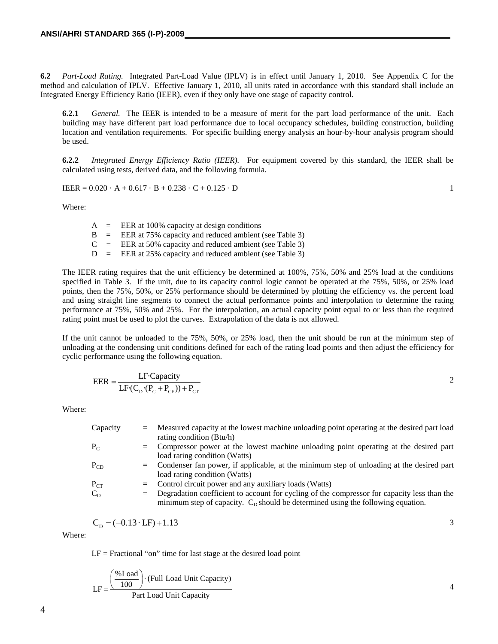**6.2** *Part-Load Rating.* Integrated Part-Load Value (IPLV) is in effect until January 1, 2010. See Appendix C for the method and calculation of IPLV. Effective January 1, 2010, all units rated in accordance with this standard shall include an Integrated Energy Efficiency Ratio (IEER), even if they only have one stage of capacity control.

**6.2.1** *General.* The IEER is intended to be a measure of merit for the part load performance of the unit. Each building may have different part load performance due to local occupancy schedules, building construction, building location and ventilation requirements. For specific building energy analysis an hour-by-hour analysis program should be used.

**6.2.2** *Integrated Energy Efficiency Ratio (IEER).* For equipment covered by this standard, the IEER shall be calculated using tests, derived data, and the following formula.

$$
IEEE = 0.020 \cdot A + 0.617 \cdot B + 0.238 \cdot C + 0.125 \cdot D
$$

Where:

 $A = EER$  at 100% capacity at design conditions  $B = EER$  at 75% capacity and reduced ambient (see Table 3)  $C = EER$  at 50% capacity and reduced ambient (see Table 3)  $D = EER$  at 25% capacity and reduced ambient (see Table 3)

The IEER rating requires that the unit efficiency be determined at 100%, 75%, 50% and 25% load at the conditions specified in Table 3. If the unit, due to its capacity control logic cannot be operated at the 75%, 50%, or 25% load points, then the 75%, 50%, or 25% performance should be determined by plotting the efficiency vs. the percent load and using straight line segments to connect the actual performance points and interpolation to determine the rating performance at 75%, 50% and 25%. For the interpolation, an actual capacity point equal to or less than the required rating point must be used to plot the curves. Extrapolation of the data is not allowed.

If the unit cannot be unloaded to the 75%, 50%, or 25% load, then the unit should be run at the minimum step of unloading at the condensing unit conditions defined for each of the rating load points and then adjust the efficiency for cyclic performance using the following equation.

$$
EER = \frac{LF \cdot Capacity}{LF \cdot (C_{D} \cdot (P_{C} + P_{CF})) + P_{CT}}
$$
 2

Where:

| Capacity | $=$ | Measured capacity at the lowest machine unloading point operating at the desired part load                                                                                           |
|----------|-----|--------------------------------------------------------------------------------------------------------------------------------------------------------------------------------------|
|          |     | rating condition (Btu/h)                                                                                                                                                             |
| $P_{C}$  |     | = Compressor power at the lowest machine unloading point operating at the desired part                                                                                               |
|          |     | load rating condition (Watts)                                                                                                                                                        |
| $P_{CD}$ |     | = Condenser fan power, if applicable, at the minimum step of unloading at the desired part                                                                                           |
|          |     | load rating condition (Watts)                                                                                                                                                        |
| $P_{CT}$ |     | $=$ Control circuit power and any auxiliary loads (Watts)                                                                                                                            |
| $C_{D}$  |     | $=$ Degradation coefficient to account for cycling of the compressor for capacity less than the<br>minimum step of capacity. $CD$ should be determined using the following equation. |
|          |     |                                                                                                                                                                                      |

$$
C_{\rm p} = (-0.13 \cdot \text{LF}) + 1.13
$$

Where:

 $LF = Fractional$  "on" time for last stage at the desired load point

$$
LF = \frac{\left(\frac{\%Load}{100}\right) \cdot (Full Load Unit Capacity)}{Part Load Unit Capacity}
$$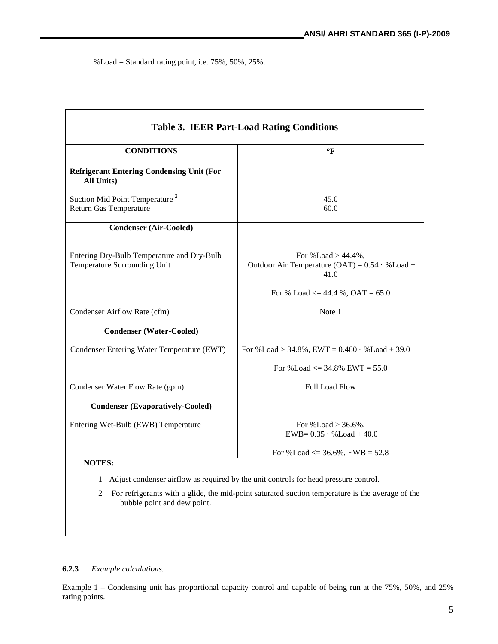%Load = Standard rating point, i.e. 75%, 50%, 25%.

| <b>Table 3. IEER Part-Load Rating Conditions</b>                            |                                                                                                                                                                                            |  |  |  |  |  |  |  |
|-----------------------------------------------------------------------------|--------------------------------------------------------------------------------------------------------------------------------------------------------------------------------------------|--|--|--|--|--|--|--|
| <b>CONDITIONS</b>                                                           | °F                                                                                                                                                                                         |  |  |  |  |  |  |  |
| <b>Refrigerant Entering Condensing Unit (For</b><br>All Units)              |                                                                                                                                                                                            |  |  |  |  |  |  |  |
| Suction Mid Point Temperature <sup>2</sup><br><b>Return Gas Temperature</b> | 45.0<br>60.0                                                                                                                                                                               |  |  |  |  |  |  |  |
| <b>Condenser (Air-Cooled)</b>                                               |                                                                                                                                                                                            |  |  |  |  |  |  |  |
| Entering Dry-Bulb Temperature and Dry-Bulb<br>Temperature Surrounding Unit  | For $\%$ Load $> 44.4\%$ .<br>Outdoor Air Temperature (OAT) = $0.54 \cdot %$ Load +<br>41.0                                                                                                |  |  |  |  |  |  |  |
|                                                                             | For % Load $\leq$ 44.4 %, OAT = 65.0                                                                                                                                                       |  |  |  |  |  |  |  |
| Condenser Airflow Rate (cfm)                                                | Note 1                                                                                                                                                                                     |  |  |  |  |  |  |  |
| <b>Condenser (Water-Cooled)</b>                                             |                                                                                                                                                                                            |  |  |  |  |  |  |  |
| Condenser Entering Water Temperature (EWT)                                  | For %Load > 34.8%, EWT = $0.460 \cdot %$ Load + 39.0                                                                                                                                       |  |  |  |  |  |  |  |
|                                                                             | For %Load $\leq$ 34.8% EWT = 55.0                                                                                                                                                          |  |  |  |  |  |  |  |
| Condenser Water Flow Rate (gpm)                                             | <b>Full Load Flow</b>                                                                                                                                                                      |  |  |  |  |  |  |  |
| <b>Condenser (Evaporatively-Cooled)</b>                                     |                                                                                                                                                                                            |  |  |  |  |  |  |  |
| Entering Wet-Bulb (EWB) Temperature                                         | For $\%$ Load $> 36.6\%$ .<br>$EWB = 0.35 \cdot %$ Load + 40.0                                                                                                                             |  |  |  |  |  |  |  |
|                                                                             | For %Load $\leq$ 36.6%, EWB = 52.8                                                                                                                                                         |  |  |  |  |  |  |  |
| <b>NOTES:</b>                                                               |                                                                                                                                                                                            |  |  |  |  |  |  |  |
| 2<br>bubble point and dew point.                                            | 1 Adjust condenser airflow as required by the unit controls for head pressure control.<br>For refrigerants with a glide, the mid-point saturated suction temperature is the average of the |  |  |  |  |  |  |  |

#### **6.2.3** *Example calculations.*

Example 1 – Condensing unit has proportional capacity control and capable of being run at the 75%, 50%, and 25% rating points.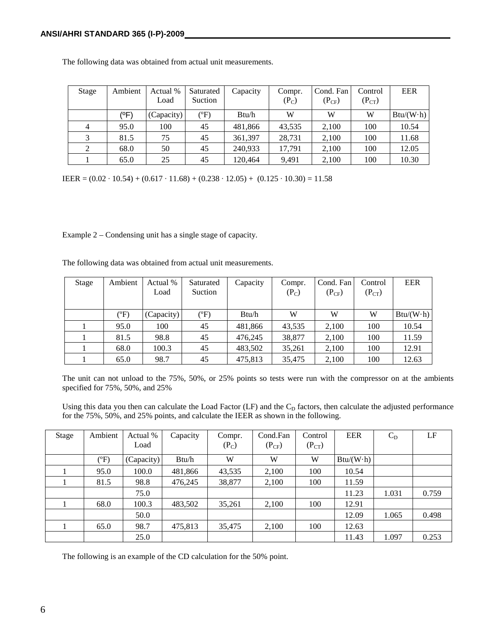| Stage | Ambient | Actual %   | Saturated     | Capacity | Compr.  | Cond. Fan  | Control    | <b>EER</b>        |
|-------|---------|------------|---------------|----------|---------|------------|------------|-------------------|
|       |         | Load       | Suction       |          | $(P_C)$ | $(P_{CF})$ | $(P_{CT})$ |                   |
|       | (°F)    | (Capacity) | $\rm ^{(o}F)$ | Btu/h    | W       | W          | W          | $Btu/(W \cdot h)$ |
| 4     | 95.0    | 100        | 45            | 481,866  | 43,535  | 2,100      | 100        | 10.54             |
|       | 81.5    | 75         | 45            | 361,397  | 28,731  | 2,100      | 100        | 11.68             |
| 2     | 68.0    | 50         | 45            | 240.933  | 17.791  | 2,100      | 100        | 12.05             |
|       | 65.0    | 25         | 45            | 120.464  | 9,491   | 2,100      | 100        | 10.30             |

The following data was obtained from actual unit measurements.

IEER =  $(0.02 \cdot 10.54) + (0.617 \cdot 11.68) + (0.238 \cdot 12.05) + (0.125 \cdot 10.30) = 11.58$ 

Example 2 – Condensing unit has a single stage of capacity.

The following data was obtained from actual unit measurements.

| Stage | Ambient | Actual %   | Saturated     | Capacity | Compr.  | Cond. Fan  | Control    | <b>EER</b>        |
|-------|---------|------------|---------------|----------|---------|------------|------------|-------------------|
|       |         | Load       | Suction       |          | $(P_C)$ | $(P_{CF})$ | $(P_{CT})$ |                   |
|       | $(^oF)$ | (Capacity) | $(^{\circ}F)$ | Btu/h    | W       | W          | W          | $Btu/(W \cdot h)$ |
|       | 95.0    | 100        | 45            | 481,866  | 43,535  | 2,100      | 100        | 10.54             |
|       | 81.5    | 98.8       | 45            | 476.245  | 38,877  | 2,100      | 100        | 11.59             |
|       | 68.0    | 100.3      | 45            | 483,502  | 35,261  | 2,100      | 100        | 12.91             |
|       | 65.0    | 98.7       | 45            | 475,813  | 35,475  | 2,100      | 100        | 12.63             |

The unit can not unload to the 75%, 50%, or 25% points so tests were run with the compressor on at the ambients specified for 75%, 50%, and 25%

Using this data you then can calculate the Load Factor (LF) and the C<sub>D</sub> factors, then calculate the adjusted performance for the 75%, 50%, and 25% points, and calculate the IEER as shown in the following.

| Stage | Ambient | Actual %   | Capacity | Compr.  | Cond.Fan   | Control    | <b>EER</b>        | $C_D$ | LF    |
|-------|---------|------------|----------|---------|------------|------------|-------------------|-------|-------|
|       |         | Load       |          | $(P_C)$ | $(P_{CF})$ | $(P_{CT})$ |                   |       |       |
|       | $(^oF)$ | (Capacity) | Btu/h    | W       | W          | W          | $Btu/(W \cdot h)$ |       |       |
|       | 95.0    | 100.0      | 481,866  | 43,535  | 2,100      | 100        | 10.54             |       |       |
|       | 81.5    | 98.8       | 476,245  | 38,877  | 2,100      | 100        | 11.59             |       |       |
|       |         | 75.0       |          |         |            |            | 11.23             | 1.031 | 0.759 |
|       | 68.0    | 100.3      | 483,502  | 35,261  | 2,100      | 100        | 12.91             |       |       |
|       |         | 50.0       |          |         |            |            | 12.09             | 1.065 | 0.498 |
|       | 65.0    | 98.7       | 475,813  | 35,475  | 2,100      | 100        | 12.63             |       |       |
|       |         | 25.0       |          |         |            |            | 11.43             | 1.097 | 0.253 |

The following is an example of the CD calculation for the 50% point.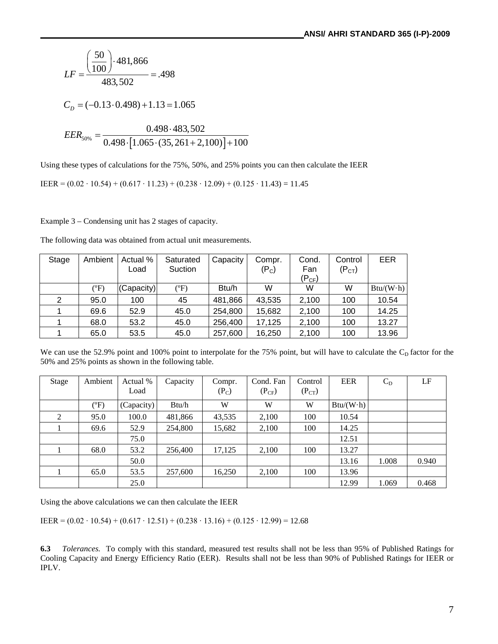$$
LF = \frac{\left(\frac{50}{100}\right) \cdot 481,866}{483,502} = .498
$$
  

$$
C_D = (-0.13 \cdot 0.498) + 1.13 = 1.065
$$
  

$$
EER_{50\%} = \frac{0.498 \cdot 483,502}{0.498 \cdot [1.065 \cdot (35,261 + 2,100)] + 100}
$$

Using these types of calculations for the 75%, 50%, and 25% points you can then calculate the IEER

IEER =  $(0.02 \cdot 10.54) + (0.617 \cdot 11.23) + (0.238 \cdot 12.09) + (0.125 \cdot 11.43) = 11.45$ 

Example 3 – Condensing unit has 2 stages of capacity.

| Stage | Ambient | Actual %   | Saturated     | Capacity | Compr.  | Cond.      | Control            | EER               |
|-------|---------|------------|---------------|----------|---------|------------|--------------------|-------------------|
|       |         | Load       | Suction       |          | $(P_C)$ | Fan        | (P <sub>CT</sub> ) |                   |
|       |         |            |               |          |         | $(P_{CF})$ |                    |                   |
|       | (°F)    | 'Capacity) | $(^{\circ}F)$ | Btu/h    | W       | W          | W                  | $Btu/(W \cdot h)$ |
| 2     | 95.0    | 100        | 45            | 481,866  | 43,535  | 2,100      | 100                | 10.54             |
|       | 69.6    | 52.9       | 45.0          | 254,800  | 15,682  | 2,100      | 100                | 14.25             |
|       | 68.0    | 53.2       | 45.0          | 256,400  | 17,125  | 2,100      | 100                | 13.27             |
|       | 65.0    | 53.5       | 45.0          | 257,600  | 16,250  | 2,100      | 100                | 13.96             |

We can use the 52.9% point and 100% point to interpolate for the 75% point, but will have to calculate the  $C<sub>D</sub>$  factor for the 50% and 25% points as shown in the following table.

| Stage | Ambient | Actual %   | Capacity | Compr.  | Cond. Fan  | Control    | <b>EER</b>        | $C_D$ | LF    |
|-------|---------|------------|----------|---------|------------|------------|-------------------|-------|-------|
|       |         | Load       |          | $(P_C)$ | $(P_{CF})$ | $(P_{CT})$ |                   |       |       |
|       | (PF)    | (Capacity) | Btu/h    | W       | W          | W          | $Btu/(W \cdot h)$ |       |       |
| 2     | 95.0    | 100.0      | 481,866  | 43,535  | 2,100      | 100        | 10.54             |       |       |
|       | 69.6    | 52.9       | 254,800  | 15,682  | 2,100      | 100        | 14.25             |       |       |
|       |         | 75.0       |          |         |            |            | 12.51             |       |       |
|       | 68.0    | 53.2       | 256,400  | 17,125  | 2,100      | 100        | 13.27             |       |       |
|       |         | 50.0       |          |         |            |            | 13.16             | 1.008 | 0.940 |
|       | 65.0    | 53.5       | 257,600  | 16.250  | 2,100      | 100        | 13.96             |       |       |
|       |         | 25.0       |          |         |            |            | 12.99             | 1.069 | 0.468 |

Using the above calculations we can then calculate the IEER

IEER =  $(0.02 \cdot 10.54) + (0.617 \cdot 12.51) + (0.238 \cdot 13.16) + (0.125 \cdot 12.99) = 12.68$ 

**6.3** *Tolerances.* To comply with this standard, measured test results shall not be less than 95% of Published Ratings for Cooling Capacity and Energy Efficiency Ratio (EER). Results shall not be less than 90% of Published Ratings for IEER or IPLV.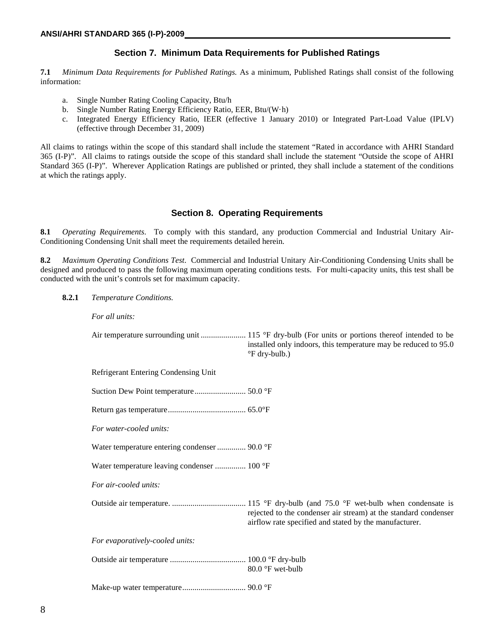#### **Section 7. Minimum Data Requirements for Published Ratings**

**7.1** *Minimum Data Requirements for Published Ratings.* As a minimum, Published Ratings shall consist of the following information:

- a. Single Number Rating Cooling Capacity, Btu/h
- b. Single Number Rating Energy Efficiency Ratio, EER, Btu/(W·h)
- c. Integrated Energy Efficiency Ratio, IEER (effective 1 January 2010) or Integrated Part-Load Value (IPLV) (effective through December 31, 2009)

All claims to ratings within the scope of this standard shall include the statement "Rated in accordance with AHRI Standard 365 (I-P)". All claims to ratings outside the scope of this standard shall include the statement "Outside the scope of AHRI Standard 365 (I-P)". Wherever Application Ratings are published or printed, they shall include a statement of the conditions at which the ratings apply.

#### **Section 8. Operating Requirements**

**8.1** *Operating Requirements*. To comply with this standard, any production Commercial and Industrial Unitary Air-Conditioning Condensing Unit shall meet the requirements detailed herein.

**8.2** *Maximum Operating Conditions Test*. Commercial and Industrial Unitary Air-Conditioning Condensing Units shall be designed and produced to pass the following maximum operating conditions tests. For multi-capacity units, this test shall be conducted with the unit's controls set for maximum capacity.

**8.2.1** *Temperature Conditions.*

*For all units:*

|               | installed only indoors, this temperature may be reduced to 95.0 |
|---------------|-----------------------------------------------------------------|
| °F dry-bulb.) |                                                                 |

Refrigerant Entering Condensing Unit

Suction Dew Point temperature......................... 50.0 °F

Return gas temperature...................................... 65.0°F

*For water-cooled units:*

Water temperature entering condenser.............. 90.0 °F

Water temperature leaving condenser ............... 100 °F

*For air-cooled units:*

Outside air temperature. .................................... 115 °F dry-bulb (and 75.0 °F wet-bulb when condensate is rejected to the condenser air stream) at the standard condenser airflow rate specified and stated by the manufacturer.

*For evaporatively-cooled units:*

Outside air temperature ..................................... 100.0 °F dry-bulb 80.0 °F wet-bulb

Make-up water temperature............................... 90.0 °F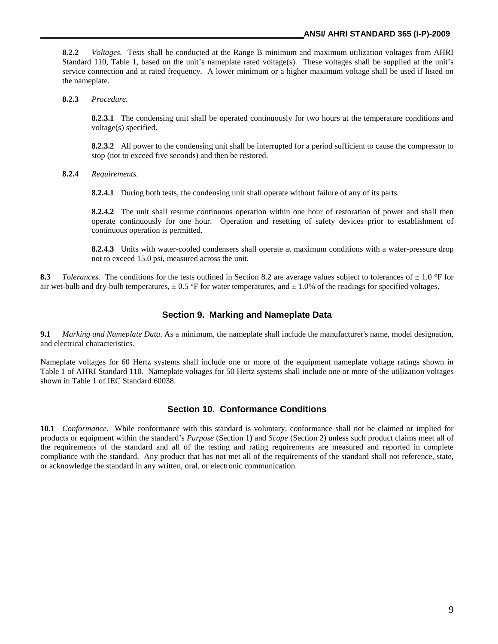**8.2.2** *Voltages.* Tests shall be conducted at the Range B minimum and maximum utilization voltages from AHRI Standard 110, Table 1, based on the unit's nameplate rated voltage(s). These voltages shall be supplied at the unit's service connection and at rated frequency. A lower minimum or a higher maximum voltage shall be used if listed on the nameplate.

**8.2.3** *Procedure.*

**8.2.3.1** The condensing unit shall be operated continuously for two hours at the temperature conditions and voltage(s) specified.

**8.2.3.2** All power to the condensing unit shall be interrupted for a period sufficient to cause the compressor to stop (not to exceed five seconds) and then be restored.

**8.2.4** *Requirements.*

**8.2.4.1** During both tests, the condensing unit shall operate without failure of any of its parts.

**8.2.4.2** The unit shall resume continuous operation within one hour of restoration of power and shall then operate continuously for one hour. Operation and resetting of safety devices prior to establishment of continuous operation is permitted.

**8.2.4.3** Units with water-cooled condensers shall operate at maximum conditions with a water-pressure drop not to exceed 15.0 psi, measured across the unit.

**8.3** *Tolerances.* The conditions for the tests outlined in Section 8.2 are average values subject to tolerances of  $\pm$  1.0 °F for air wet-bulb and dry-bulb temperatures,  $\pm$  0.5 °F for water temperatures, and  $\pm$  1.0% of the readings for specified voltages.

#### **Section 9. Marking and Nameplate Data**

**9.1** *Marking and Nameplate Data*. As a minimum, the nameplate shall include the manufacturer's name, model designation, and electrical characteristics.

Nameplate voltages for 60 Hertz systems shall include one or more of the equipment nameplate voltage ratings shown in Table 1 of AHRI Standard 110. Nameplate voltages for 50 Hertz systems shall include one or more of the utilization voltages shown in Table 1 of IEC Standard 60038.

#### **Section 10. Conformance Conditions**

**10.1** *Conformance*. While conformance with this standard is voluntary, conformance shall not be claimed or implied for products or equipment within the standard's *Purpose* (Section 1) and *Scope* (Section 2) unless such product claims meet all of the requirements of the standard and all of the testing and rating requirements are measured and reported in complete compliance with the standard. Any product that has not met all of the requirements of the standard shall not reference, state, or acknowledge the standard in any written, oral, or electronic communication.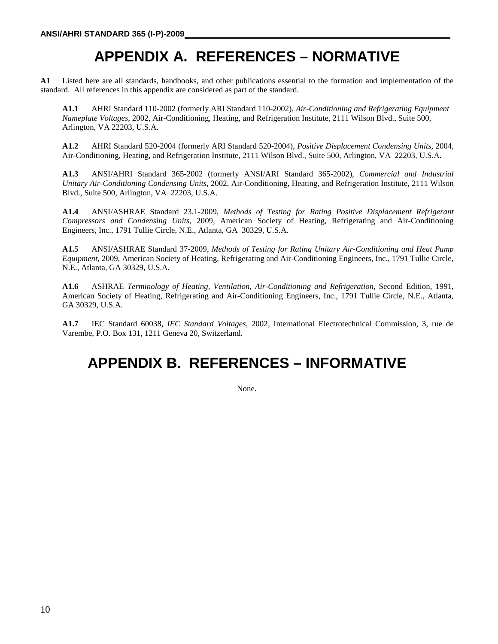# **APPENDIX A. REFERENCES – NORMATIVE**

**A1** Listed here are all standards, handbooks, and other publications essential to the formation and implementation of the standard. All references in this appendix are considered as part of the standard.

**A1.1** AHRI Standard 110-2002 (formerly ARI Standard 110-2002), *Air-Conditioning and Refrigerating Equipment Nameplate Voltages*, 2002, Air-Conditioning, Heating, and Refrigeration Institute, 2111 Wilson Blvd., Suite 500, Arlington, VA 22203, U.S.A.

**A1.2** AHRI Standard 520-2004 (formerly ARI Standard 520-2004), *Positive Displacement Condensing Units,* 2004*,*  Air-Conditioning, Heating, and Refrigeration Institute, 2111 Wilson Blvd., Suite 500, Arlington, VA 22203, U.S.A.

**A1.3** ANSI/AHRI Standard 365-2002 (formerly ANSI/ARI Standard 365-2002), *Commercial and Industrial Unitary Air-Conditioning Condensing Units*, 2002, Air-Conditioning, Heating, and Refrigeration Institute, 2111 Wilson Blvd., Suite 500, Arlington, VA 22203, U.S.A.

**A1.4** ANSI/ASHRAE Standard 23.1-2009, *Methods of Testing for Rating Positive Displacement Refrigerant Compressors and Condensing Units,* 2009, American Society of Heating, Refrigerating and Air-Conditioning Engineers, Inc., 1791 Tullie Circle, N.E., Atlanta, GA 30329, U.S.A.

**A1.5** ANSI**/**ASHRAE Standard 37-2009, *Methods of Testing for Rating Unitary Air-Conditioning and Heat Pump Equipment*, 2009, American Society of Heating, Refrigerating and Air-Conditioning Engineers, Inc., 1791 Tullie Circle, N.E., Atlanta, GA 30329, U.S.A.

**A1.6** ASHRAE *Terminology of Heating, Ventilation, Air-Conditioning and Refrigeration,* Second Edition, 1991, American Society of Heating, Refrigerating and Air-Conditioning Engineers, Inc., 1791 Tullie Circle, N.E., Atlanta, GA 30329, U.S.A.

**A1.7** IEC Standard 60038, *IEC Standard Voltages,* 2002, International Electrotechnical Commission, 3, rue de Varembe, P.O. Box 131, 1211 Geneva 20, Switzerland.

# **APPENDIX B. REFERENCES – INFORMATIVE**

None.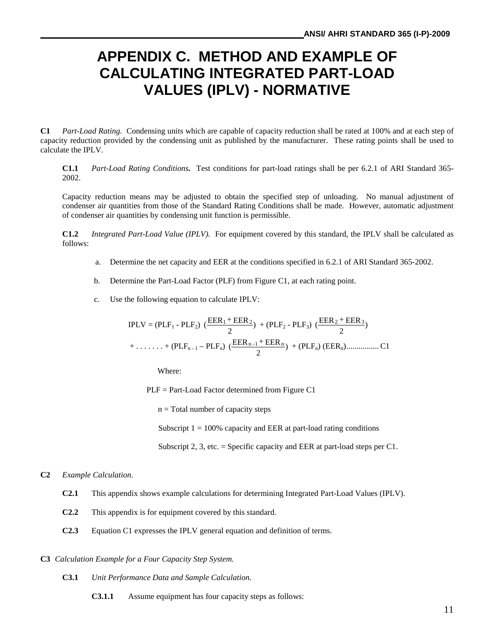# **APPENDIX C. METHOD AND EXAMPLE OF CALCULATING INTEGRATED PART-LOAD VALUES (IPLV) - NORMATIVE**

**C1** *Part-Load Rating.* Condensing units which are capable of capacity reduction shall be rated at 100% and at each step of capacity reduction provided by the condensing unit as published by the manufacturer. These rating points shall be used to calculate the IPLV.

**C1.1** *Part-Load Rating Conditions.* Test conditions for part-load ratings shall be per 6.2.1 of ARI Standard 365- 2002.

Capacity reduction means may be adjusted to obtain the specified step of unloading. No manual adjustment of condenser air quantities from those of the Standard Rating Conditions shall be made. However, automatic adjustment of condenser air quantities by condensing unit function is permissible.

**C1.2** *Integrated Part-Load Value (IPLV).* For equipment covered by this standard, the IPLV shall be calculated as follows:

- a. Determine the net capacity and EER at the conditions specified in 6.2.1 of ARI Standard 365-2002.
- b. Determine the Part-Load Factor (PLF) from Figure C1, at each rating point.
- c. Use the following equation to calculate IPLV:

$$
IPLV = (PLF_1 - PLF_2) \frac{(EER_1 + EER_2)}{2} + (PLF_2 - PLF_3) \frac{(EER_2 + EER_3)}{2}
$$
  
+ \ldots + (PLF\_{n-1} - PLF\_n) \frac{(EER\_{n-1} + EER\_n)}{2} + (PLF\_n) (EER\_n) \ldots (C1)

Where:

PLF = Part-Load Factor determined from Figure C1

 $n = Total number of capacity steps$ 

Subscript  $1 = 100\%$  capacity and EER at part-load rating conditions

Subscript 2, 3, etc. = Specific capacity and EER at part-load steps per C1.

#### **C2** *Example Calculation.*

- **C2.1** This appendix shows example calculations for determining Integrated Part-Load Values (IPLV).
- **C2.2** This appendix is for equipment covered by this standard.
- **C2.3** Equation C1 expresses the IPLV general equation and definition of terms.

#### **C3** *Calculation Example for a Four Capacity Step System.*

- **C3.1** *Unit Performance Data and Sample Calculation.*
	- **C3.1.1** Assume equipment has four capacity steps as follows: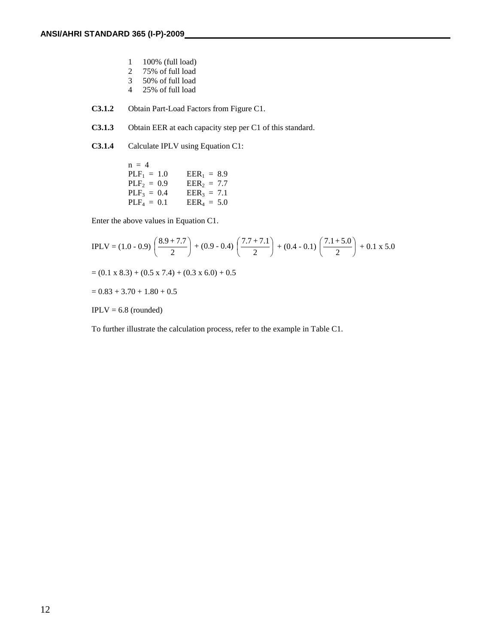- 1 100% (full load)<br>2 75% of full load
- 2 75% of full load
- 3 50% of full load
- 4 25% of full load
- **C3.1.2** Obtain Part-Load Factors from Figure C1.
- **C3.1.3** Obtain EER at each capacity step per C1 of this standard.
- **C3.1.4** Calculate IPLV using Equation C1:

 $n = 4$  $PLF_1 = 1.0$   $EER_1 = 8.9$ <br> $PLF_2 = 0.9$   $EER_2 = 7.7$  $PLF_2 = 0.9$ <br> $PLF_3 = 0.4$  $PLF_3 = 0.4$   $EER_3 = 7.1$ <br>  $PLF_4 = 0.1$   $EER_4 = 5.0$  $EER_4 = 5.0$ 

Enter the above values in Equation C1.

$$
IPLV = (1.0 - 0.9) \left(\frac{8.9 + 7.7}{2}\right) + (0.9 - 0.4) \left(\frac{7.7 + 7.1}{2}\right) + (0.4 - 0.1) \left(\frac{7.1 + 5.0}{2}\right) + 0.1 \times 5.0
$$
  
= (0.1 x 8.3) + (0.5 x 7.4) + (0.3 x 6.0) + 0.5  
= 0.83 + 3.70 + 1.80 + 0.5

 $IPLV = 6.8$  (rounded)

To further illustrate the calculation process, refer to the example in Table C1.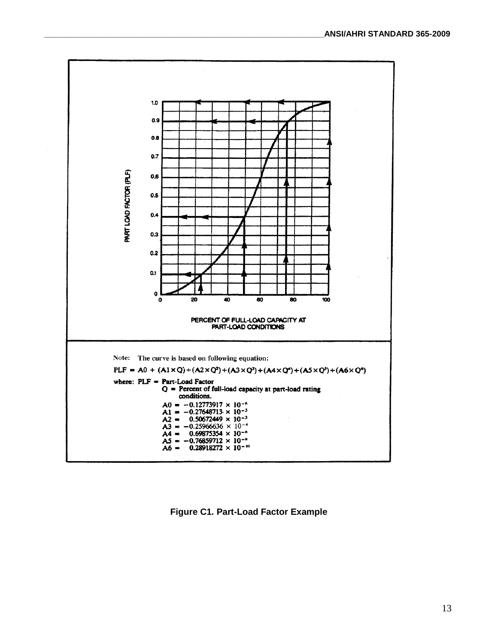

**Figure C1. Part-Load Factor Example**